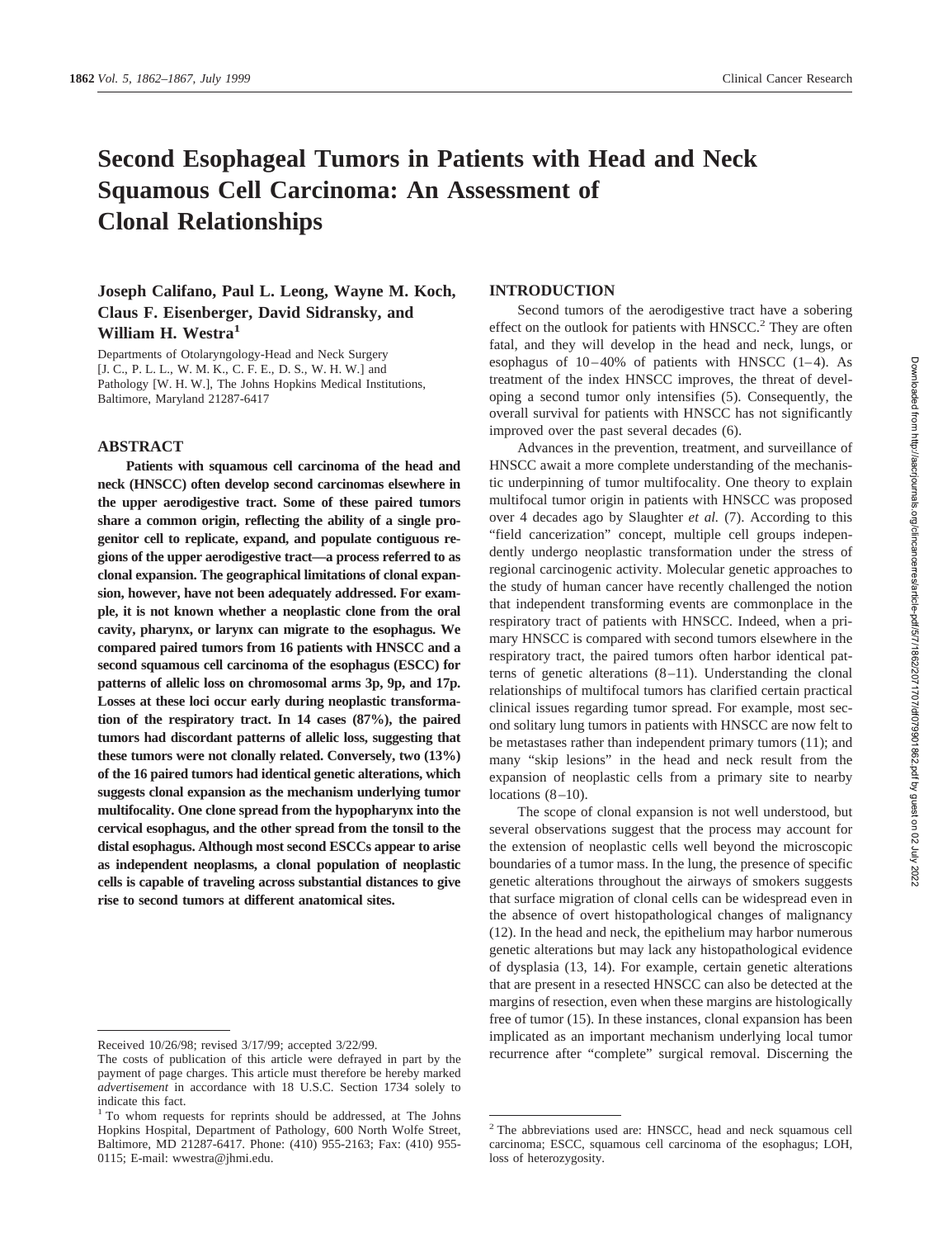# **Second Esophageal Tumors in Patients with Head and Neck Squamous Cell Carcinoma: An Assessment of Clonal Relationships**

# **Joseph Califano, Paul L. Leong, Wayne M. Koch, Claus F. Eisenberger, David Sidransky, and William H. Westra1**

Departments of Otolaryngology-Head and Neck Surgery [J. C., P. L. L., W. M. K., C. F. E., D. S., W. H. W.] and Pathology [W. H. W.], The Johns Hopkins Medical Institutions, Baltimore, Maryland 21287-6417

# **ABSTRACT**

**Patients with squamous cell carcinoma of the head and neck (HNSCC) often develop second carcinomas elsewhere in the upper aerodigestive tract. Some of these paired tumors share a common origin, reflecting the ability of a single progenitor cell to replicate, expand, and populate contiguous regions of the upper aerodigestive tract—a process referred to as clonal expansion. The geographical limitations of clonal expansion, however, have not been adequately addressed. For example, it is not known whether a neoplastic clone from the oral cavity, pharynx, or larynx can migrate to the esophagus. We compared paired tumors from 16 patients with HNSCC and a second squamous cell carcinoma of the esophagus (ESCC) for patterns of allelic loss on chromosomal arms 3p, 9p, and 17p. Losses at these loci occur early during neoplastic transformation of the respiratory tract. In 14 cases (87%), the paired tumors had discordant patterns of allelic loss, suggesting that these tumors were not clonally related. Conversely, two (13%) of the 16 paired tumors had identical genetic alterations, which suggests clonal expansion as the mechanism underlying tumor multifocality. One clone spread from the hypopharynx into the cervical esophagus, and the other spread from the tonsil to the distal esophagus. Although most second ESCCs appear to arise as independent neoplasms, a clonal population of neoplastic cells is capable of traveling across substantial distances to give rise to second tumors at different anatomical sites.**

# **INTRODUCTION**

Second tumors of the aerodigestive tract have a sobering effect on the outlook for patients with  $HNSCC<sup>2</sup>$ . They are often fatal, and they will develop in the head and neck, lungs, or esophagus of  $10-40\%$  of patients with HNSCC  $(1-4)$ . As treatment of the index HNSCC improves, the threat of developing a second tumor only intensifies (5). Consequently, the overall survival for patients with HNSCC has not significantly improved over the past several decades (6).

Advances in the prevention, treatment, and surveillance of HNSCC await a more complete understanding of the mechanistic underpinning of tumor multifocality. One theory to explain multifocal tumor origin in patients with HNSCC was proposed over 4 decades ago by Slaughter *et al.* (7). According to this "field cancerization" concept, multiple cell groups independently undergo neoplastic transformation under the stress of regional carcinogenic activity. Molecular genetic approaches to the study of human cancer have recently challenged the notion that independent transforming events are commonplace in the respiratory tract of patients with HNSCC. Indeed, when a primary HNSCC is compared with second tumors elsewhere in the respiratory tract, the paired tumors often harbor identical patterns of genetic alterations (8–11). Understanding the clonal relationships of multifocal tumors has clarified certain practical clinical issues regarding tumor spread. For example, most second solitary lung tumors in patients with HNSCC are now felt to be metastases rather than independent primary tumors (11); and many "skip lesions" in the head and neck result from the expansion of neoplastic cells from a primary site to nearby locations  $(8-10)$ .

The scope of clonal expansion is not well understood, but several observations suggest that the process may account for the extension of neoplastic cells well beyond the microscopic boundaries of a tumor mass. In the lung, the presence of specific genetic alterations throughout the airways of smokers suggests that surface migration of clonal cells can be widespread even in the absence of overt histopathological changes of malignancy (12). In the head and neck, the epithelium may harbor numerous genetic alterations but may lack any histopathological evidence of dysplasia (13, 14). For example, certain genetic alterations that are present in a resected HNSCC can also be detected at the margins of resection, even when these margins are histologically free of tumor (15). In these instances, clonal expansion has been implicated as an important mechanism underlying local tumor Received 10/26/98; revised 3/17/99; accepted 3/22/99.<br>The costs of publication of this article were defraved in part by the recurrence after "complete" surgical removal. Discerning the

The costs of publication of this article were defrayed in part by the payment of page charges. This article must therefore be hereby marked *advertisement* in accordance with 18 U.S.C. Section 1734 solely to indicate this fact.

<sup>&</sup>lt;sup>1</sup> To whom requests for reprints should be addressed, at The Johns Hopkins Hospital, Department of Pathology, 600 North Wolfe Street, Baltimore, MD 21287-6417. Phone: (410) 955-2163; Fax: (410) 955- 0115; E-mail: wwestra@jhmi.edu.

Downloaded from http://aacrjournals.org/clincancerres/article-pdf/5/7/1862/2071707/df079901862.pdf by guest on 02 July 2022 Downloaded from http://aacrjournals.org/clincancerres/article-pdf/5/7/1862/2071707/df079901862.pdf by guest on 02 July 2022

<sup>2</sup> The abbreviations used are: HNSCC, head and neck squamous cell carcinoma; ESCC, squamous cell carcinoma of the esophagus; LOH, loss of heterozygosity.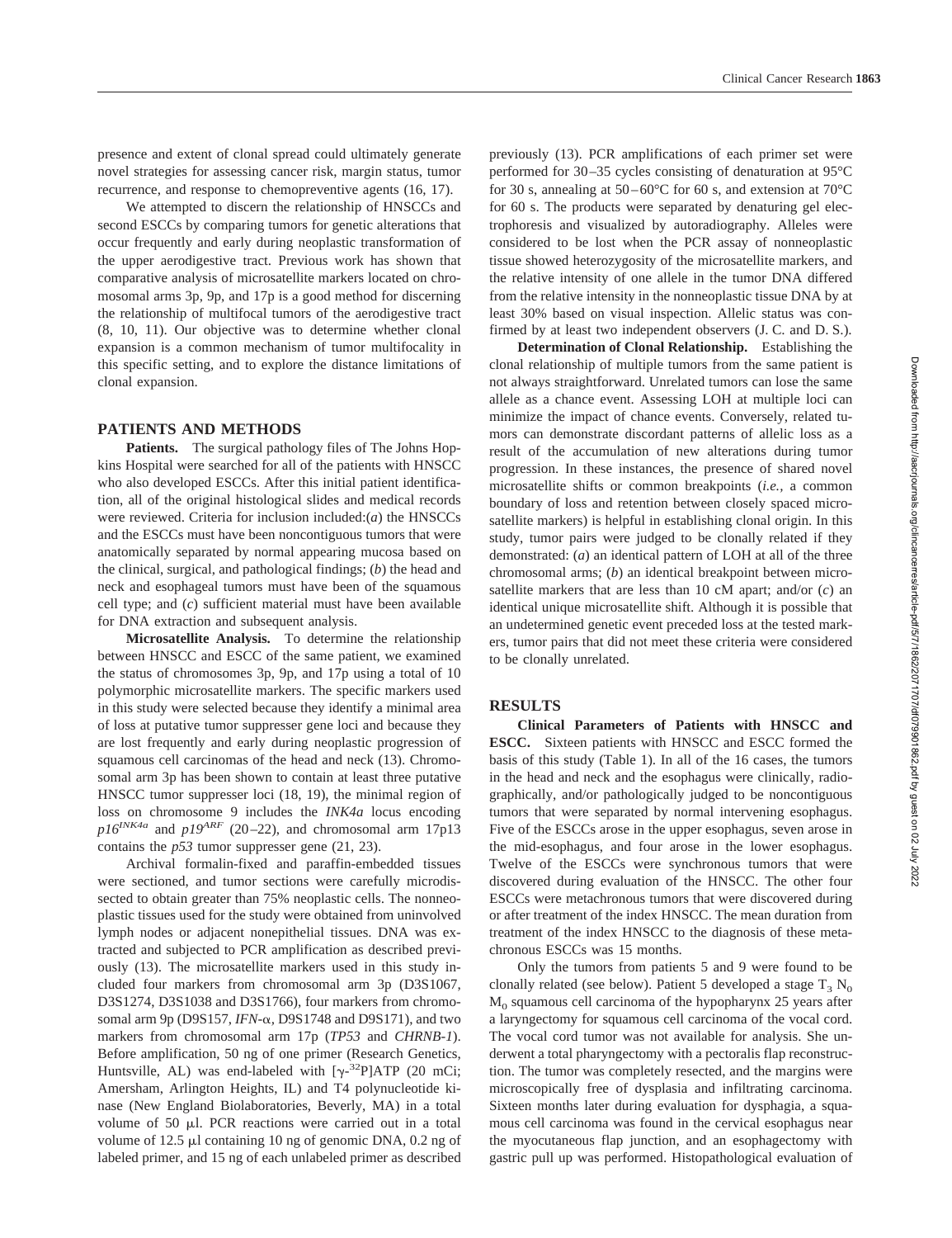presence and extent of clonal spread could ultimately generate novel strategies for assessing cancer risk, margin status, tumor recurrence, and response to chemopreventive agents (16, 17).

We attempted to discern the relationship of HNSCCs and second ESCCs by comparing tumors for genetic alterations that occur frequently and early during neoplastic transformation of the upper aerodigestive tract. Previous work has shown that comparative analysis of microsatellite markers located on chromosomal arms 3p, 9p, and 17p is a good method for discerning the relationship of multifocal tumors of the aerodigestive tract (8, 10, 11). Our objective was to determine whether clonal expansion is a common mechanism of tumor multifocality in this specific setting, and to explore the distance limitations of clonal expansion.

#### **PATIENTS AND METHODS**

**Patients.** The surgical pathology files of The Johns Hopkins Hospital were searched for all of the patients with HNSCC who also developed ESCCs. After this initial patient identification, all of the original histological slides and medical records were reviewed. Criteria for inclusion included:(*a*) the HNSCCs and the ESCCs must have been noncontiguous tumors that were anatomically separated by normal appearing mucosa based on the clinical, surgical, and pathological findings; (*b*) the head and neck and esophageal tumors must have been of the squamous cell type; and (*c*) sufficient material must have been available for DNA extraction and subsequent analysis.

**Microsatellite Analysis.** To determine the relationship between HNSCC and ESCC of the same patient, we examined the status of chromosomes 3p, 9p, and 17p using a total of 10 polymorphic microsatellite markers. The specific markers used in this study were selected because they identify a minimal area of loss at putative tumor suppresser gene loci and because they are lost frequently and early during neoplastic progression of squamous cell carcinomas of the head and neck (13). Chromosomal arm 3p has been shown to contain at least three putative HNSCC tumor suppresser loci (18, 19), the minimal region of loss on chromosome 9 includes the *INK4a* locus encoding  $p16^{INK4a}$  and  $p19^{ARF}$  (20–22), and chromosomal arm 17p13 contains the *p53* tumor suppresser gene (21, 23).

Archival formalin-fixed and paraffin-embedded tissues were sectioned, and tumor sections were carefully microdissected to obtain greater than 75% neoplastic cells. The nonneoplastic tissues used for the study were obtained from uninvolved lymph nodes or adjacent nonepithelial tissues. DNA was extracted and subjected to PCR amplification as described previously (13). The microsatellite markers used in this study included four markers from chromosomal arm 3p (D3S1067, D3S1274, D3S1038 and D3S1766), four markers from chromosomal arm 9p (D9S157, *IFN-*a*,* D9S1748 and D9S171), and two markers from chromosomal arm 17p (*TP53* and *CHRNB-1*). Before amplification, 50 ng of one primer (Research Genetics, Huntsville, AL) was end-labeled with  $[\gamma^{-32}P]$ ATP (20 mCi; Amersham, Arlington Heights, IL) and T4 polynucleotide kinase (New England Biolaboratories, Beverly, MA) in a total volume of  $50$   $\mu$ l. PCR reactions were carried out in a total volume of  $12.5 \mu l$  containing 10 ng of genomic DNA, 0.2 ng of labeled primer, and 15 ng of each unlabeled primer as described

previously (13). PCR amplifications of each primer set were performed for 30–35 cycles consisting of denaturation at 95°C for 30 s, annealing at  $50-60^{\circ}$ C for 60 s, and extension at  $70^{\circ}$ C for 60 s. The products were separated by denaturing gel electrophoresis and visualized by autoradiography. Alleles were considered to be lost when the PCR assay of nonneoplastic tissue showed heterozygosity of the microsatellite markers, and the relative intensity of one allele in the tumor DNA differed from the relative intensity in the nonneoplastic tissue DNA by at least 30% based on visual inspection. Allelic status was confirmed by at least two independent observers (J. C. and D. S.).

**Determination of Clonal Relationship.** Establishing the clonal relationship of multiple tumors from the same patient is not always straightforward. Unrelated tumors can lose the same allele as a chance event. Assessing LOH at multiple loci can minimize the impact of chance events. Conversely, related tumors can demonstrate discordant patterns of allelic loss as a result of the accumulation of new alterations during tumor progression. In these instances, the presence of shared novel microsatellite shifts or common breakpoints (*i.e.,* a common boundary of loss and retention between closely spaced microsatellite markers) is helpful in establishing clonal origin. In this study, tumor pairs were judged to be clonally related if they demonstrated: (*a*) an identical pattern of LOH at all of the three chromosomal arms; (*b*) an identical breakpoint between microsatellite markers that are less than 10 cM apart; and/or (*c*) an identical unique microsatellite shift. Although it is possible that an undetermined genetic event preceded loss at the tested markers, tumor pairs that did not meet these criteria were considered to be clonally unrelated.

### **RESULTS**

**Clinical Parameters of Patients with HNSCC and ESCC.** Sixteen patients with HNSCC and ESCC formed the basis of this study (Table 1). In all of the 16 cases, the tumors in the head and neck and the esophagus were clinically, radiographically, and/or pathologically judged to be noncontiguous tumors that were separated by normal intervening esophagus. Five of the ESCCs arose in the upper esophagus, seven arose in the mid-esophagus, and four arose in the lower esophagus. Twelve of the ESCCs were synchronous tumors that were discovered during evaluation of the HNSCC. The other four ESCCs were metachronous tumors that were discovered during or after treatment of the index HNSCC. The mean duration from treatment of the index HNSCC to the diagnosis of these metachronous ESCCs was 15 months.

Only the tumors from patients 5 and 9 were found to be clonally related (see below). Patient 5 developed a stage  $T_3 N_0$  $M<sub>0</sub>$  squamous cell carcinoma of the hypopharynx 25 years after a laryngectomy for squamous cell carcinoma of the vocal cord. The vocal cord tumor was not available for analysis. She underwent a total pharyngectomy with a pectoralis flap reconstruction. The tumor was completely resected, and the margins were microscopically free of dysplasia and infiltrating carcinoma. Sixteen months later during evaluation for dysphagia, a squamous cell carcinoma was found in the cervical esophagus near the myocutaneous flap junction, and an esophagectomy with gastric pull up was performed. Histopathological evaluation of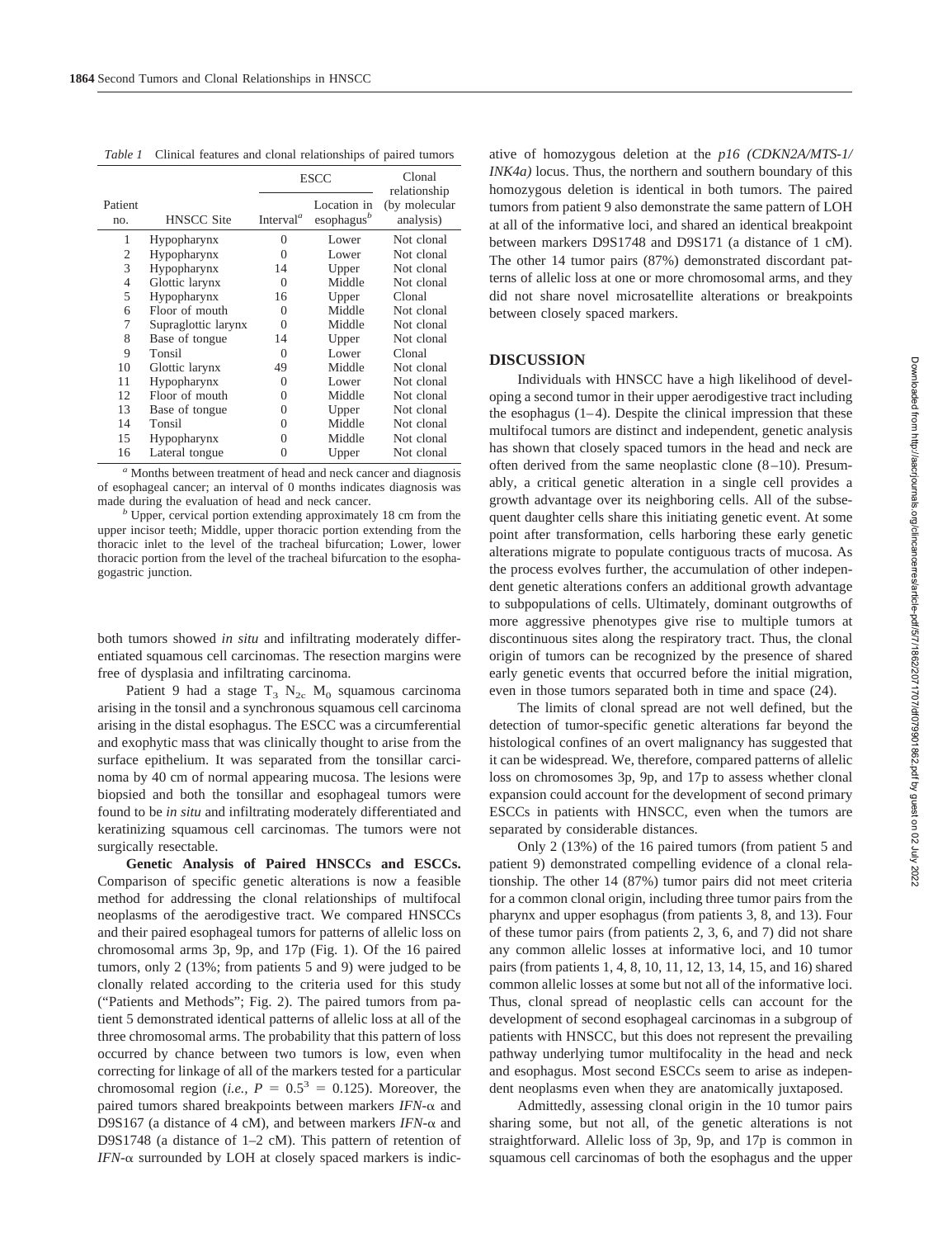*Table 1* Clinical features and clonal relationships of paired tumors

|                |                     | <b>ESCC</b>                        |                                         | Clonal<br>relationship     |
|----------------|---------------------|------------------------------------|-----------------------------------------|----------------------------|
| Patient<br>no. | <b>HNSCC Site</b>   | Interval <sup><math>a</math></sup> | Location in<br>esophagus $\mathfrak{b}$ | (by molecular<br>analysis) |
| 1              | Hypopharynx         | $\theta$                           | Lower                                   | Not clonal                 |
| $\overline{2}$ | Hypopharynx         | $\Omega$                           | Lower                                   | Not clonal                 |
| 3              | Hypopharynx         | 14                                 | Upper                                   | Not clonal                 |
| $\overline{4}$ | Glottic larynx      | $\Omega$                           | Middle                                  | Not clonal                 |
| 5              | Hypopharynx         | 16                                 | Upper                                   | Clonal                     |
| 6              | Floor of mouth      | $\Omega$                           | Middle                                  | Not clonal                 |
| 7              | Supraglottic larynx | $\Omega$                           | Middle                                  | Not clonal                 |
| 8              | Base of tongue      | 14                                 | Upper                                   | Not clonal                 |
| 9              | Tonsil              | $\Omega$                           | Lower                                   | Clonal                     |
| 10             | Glottic larynx      | 49                                 | Middle                                  | Not clonal                 |
| 11             | Hypopharynx         | $\Omega$                           | Lower                                   | Not clonal                 |
| 12             | Floor of mouth      | $\Omega$                           | Middle                                  | Not clonal                 |
| 13             | Base of tongue      | $\Omega$                           | Upper                                   | Not clonal                 |
| 14             | Tonsil              | 0                                  | Middle                                  | Not clonal                 |
| 15             | Hypopharynx         | 0                                  | Middle                                  | Not clonal                 |
| 16             | Lateral tongue      | $\Omega$                           | Upper                                   | Not clonal                 |

*<sup>a</sup>* Months between treatment of head and neck cancer and diagnosis of esophageal cancer; an interval of 0 months indicates diagnosis was made during the evaluation of head and neck cancer.<br>*b* Upper, cervical portion extending approximately 18 cm from the

upper incisor teeth; Middle, upper thoracic portion extending from the thoracic inlet to the level of the tracheal bifurcation; Lower, lower thoracic portion from the level of the tracheal bifurcation to the esophagogastric junction.

both tumors showed *in situ* and infiltrating moderately differentiated squamous cell carcinomas. The resection margins were free of dysplasia and infiltrating carcinoma.

Patient 9 had a stage  $T_3$  N<sub>2c</sub> M<sub>0</sub> squamous carcinoma arising in the tonsil and a synchronous squamous cell carcinoma arising in the distal esophagus. The ESCC was a circumferential and exophytic mass that was clinically thought to arise from the surface epithelium. It was separated from the tonsillar carcinoma by 40 cm of normal appearing mucosa. The lesions were biopsied and both the tonsillar and esophageal tumors were found to be *in situ* and infiltrating moderately differentiated and keratinizing squamous cell carcinomas. The tumors were not surgically resectable.

**Genetic Analysis of Paired HNSCCs and ESCCs.** Comparison of specific genetic alterations is now a feasible method for addressing the clonal relationships of multifocal neoplasms of the aerodigestive tract. We compared HNSCCs and their paired esophageal tumors for patterns of allelic loss on chromosomal arms 3p, 9p, and 17p (Fig. 1). Of the 16 paired tumors, only 2 (13%; from patients 5 and 9) were judged to be clonally related according to the criteria used for this study ("Patients and Methods"; Fig. 2). The paired tumors from patient 5 demonstrated identical patterns of allelic loss at all of the three chromosomal arms. The probability that this pattern of loss occurred by chance between two tumors is low, even when correcting for linkage of all of the markers tested for a particular chromosomal region (*i.e.*,  $P = 0.5^3 = 0.125$ ). Moreover, the paired tumors shared breakpoints between markers *IFN-*a and D9S167 (a distance of 4 cM), and between markers *IFN-*a and D9S1748 (a distance of 1–2 cM). This pattern of retention of *IFN-*a surrounded by LOH at closely spaced markers is indic-

ative of homozygous deletion at the *p16 (CDKN2A/MTS-1/ INK4a)* locus. Thus, the northern and southern boundary of this homozygous deletion is identical in both tumors. The paired tumors from patient 9 also demonstrate the same pattern of LOH at all of the informative loci, and shared an identical breakpoint between markers D9S1748 and D9S171 (a distance of 1 cM). The other 14 tumor pairs (87%) demonstrated discordant patterns of allelic loss at one or more chromosomal arms, and they did not share novel microsatellite alterations or breakpoints between closely spaced markers.

#### **DISCUSSION**

Individuals with HNSCC have a high likelihood of developing a second tumor in their upper aerodigestive tract including the esophagus  $(1-4)$ . Despite the clinical impression that these multifocal tumors are distinct and independent, genetic analysis has shown that closely spaced tumors in the head and neck are often derived from the same neoplastic clone (8–10). Presumably, a critical genetic alteration in a single cell provides a growth advantage over its neighboring cells. All of the subsequent daughter cells share this initiating genetic event. At some point after transformation, cells harboring these early genetic alterations migrate to populate contiguous tracts of mucosa. As the process evolves further, the accumulation of other independent genetic alterations confers an additional growth advantage to subpopulations of cells. Ultimately, dominant outgrowths of more aggressive phenotypes give rise to multiple tumors at discontinuous sites along the respiratory tract. Thus, the clonal origin of tumors can be recognized by the presence of shared early genetic events that occurred before the initial migration, even in those tumors separated both in time and space (24).

The limits of clonal spread are not well defined, but the detection of tumor-specific genetic alterations far beyond the histological confines of an overt malignancy has suggested that it can be widespread. We, therefore, compared patterns of allelic loss on chromosomes 3p, 9p, and 17p to assess whether clonal expansion could account for the development of second primary ESCCs in patients with HNSCC, even when the tumors are separated by considerable distances.

Only 2 (13%) of the 16 paired tumors (from patient 5 and patient 9) demonstrated compelling evidence of a clonal relationship. The other 14 (87%) tumor pairs did not meet criteria for a common clonal origin, including three tumor pairs from the pharynx and upper esophagus (from patients 3, 8, and 13). Four of these tumor pairs (from patients 2, 3, 6, and 7) did not share any common allelic losses at informative loci, and 10 tumor pairs (from patients 1, 4, 8, 10, 11, 12, 13, 14, 15, and 16) shared common allelic losses at some but not all of the informative loci. Thus, clonal spread of neoplastic cells can account for the development of second esophageal carcinomas in a subgroup of patients with HNSCC, but this does not represent the prevailing pathway underlying tumor multifocality in the head and neck and esophagus. Most second ESCCs seem to arise as independent neoplasms even when they are anatomically juxtaposed.

Admittedly, assessing clonal origin in the 10 tumor pairs sharing some, but not all, of the genetic alterations is not straightforward. Allelic loss of 3p, 9p, and 17p is common in squamous cell carcinomas of both the esophagus and the upper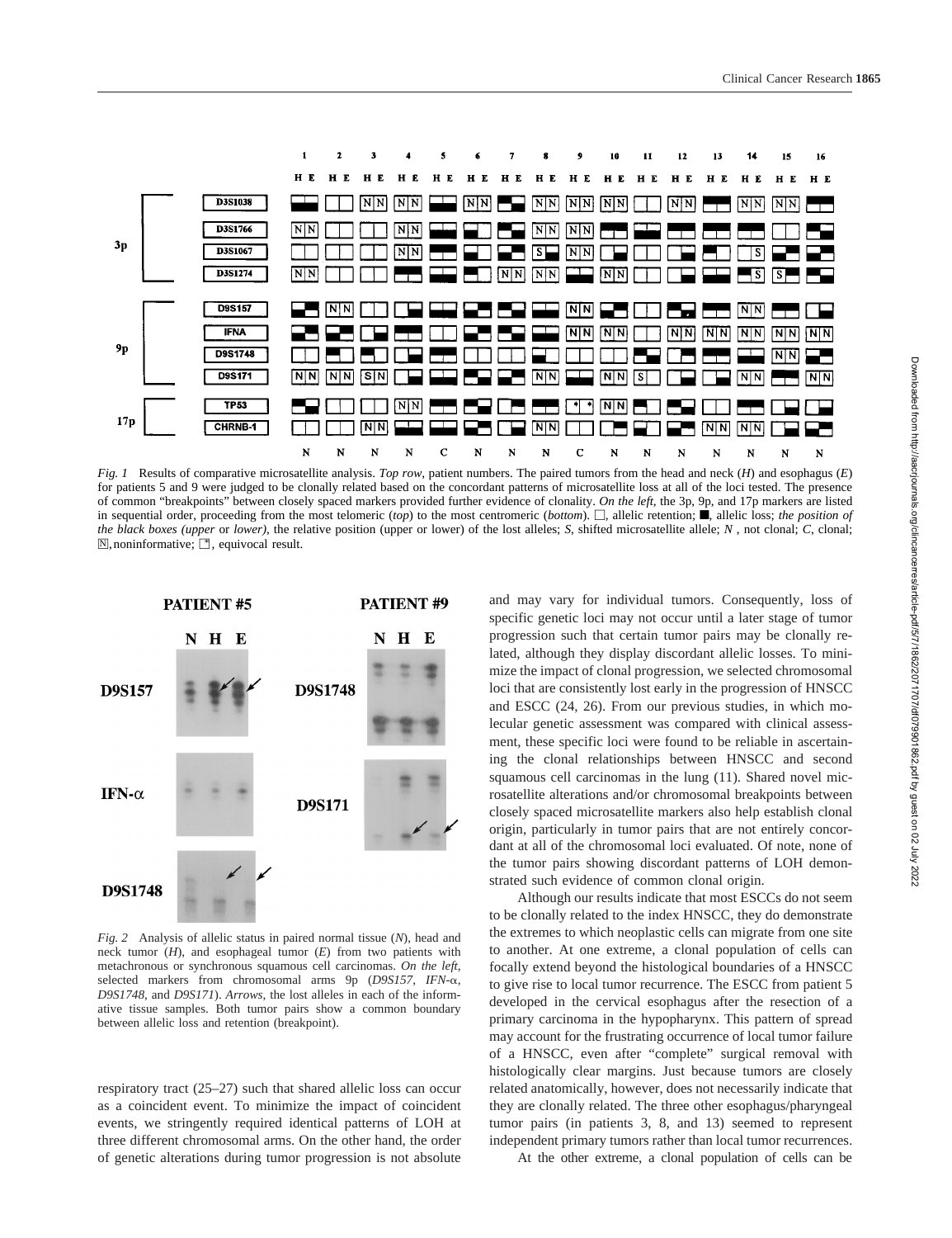

*Fig. 1* Results of comparative microsatellite analysis. *Top row*, patient numbers. The paired tumors from the head and neck (*H*) and esophagus (*E*) for patients 5 and 9 were judged to be clonally related based on the concordant patterns of microsatellite loss at all of the loci tested. The presence of common "breakpoints" between closely spaced markers provided further evidence of clonality. *On the left*, the 3p, 9p, and 17p markers are listed in sequential order, proceeding from the most telomeric (*top*) to the most centromeric (*bottom*).  $\Box$ , allelic retention;  $\blacksquare$ , allelic loss; *the position of the black boxes (upper* or *lower),* the relative position (upper or lower) of the lost alleles; *S*, shifted microsatellite allele; *N* , not clonal; *C*, clonal;  $\mathbb{N}$ , noninformative;  $\mathbb{N}$ , equivocal result.



*Fig. 2* Analysis of allelic status in paired normal tissue (*N*), head and neck tumor (*H*), and esophageal tumor (*E*) from two patients with metachronous or synchronous squamous cell carcinomas. *On the left*, selected markers from chromosomal arms 9p (*D9S157*, *IFN-*a*, D9S1748*, and *D9S171*). *Arrows*, the lost alleles in each of the informative tissue samples. Both tumor pairs show a common boundary between allelic loss and retention (breakpoint).

respiratory tract (25–27) such that shared allelic loss can occur as a coincident event. To minimize the impact of coincident events, we stringently required identical patterns of LOH at three different chromosomal arms. On the other hand, the order of genetic alterations during tumor progression is not absolute and may vary for individual tumors. Consequently, loss of specific genetic loci may not occur until a later stage of tumor progression such that certain tumor pairs may be clonally related, although they display discordant allelic losses. To minimize the impact of clonal progression, we selected chromosomal loci that are consistently lost early in the progression of HNSCC and ESCC (24, 26). From our previous studies, in which molecular genetic assessment was compared with clinical assessment, these specific loci were found to be reliable in ascertaining the clonal relationships between HNSCC and second squamous cell carcinomas in the lung (11). Shared novel microsatellite alterations and/or chromosomal breakpoints between closely spaced microsatellite markers also help establish clonal origin, particularly in tumor pairs that are not entirely concordant at all of the chromosomal loci evaluated. Of note, none of the tumor pairs showing discordant patterns of LOH demonstrated such evidence of common clonal origin.

Although our results indicate that most ESCCs do not seem to be clonally related to the index HNSCC, they do demonstrate the extremes to which neoplastic cells can migrate from one site to another. At one extreme, a clonal population of cells can focally extend beyond the histological boundaries of a HNSCC to give rise to local tumor recurrence. The ESCC from patient 5 developed in the cervical esophagus after the resection of a primary carcinoma in the hypopharynx. This pattern of spread may account for the frustrating occurrence of local tumor failure of a HNSCC, even after "complete" surgical removal with histologically clear margins. Just because tumors are closely related anatomically, however, does not necessarily indicate that they are clonally related. The three other esophagus/pharyngeal tumor pairs (in patients 3, 8, and 13) seemed to represent independent primary tumors rather than local tumor recurrences.

At the other extreme, a clonal population of cells can be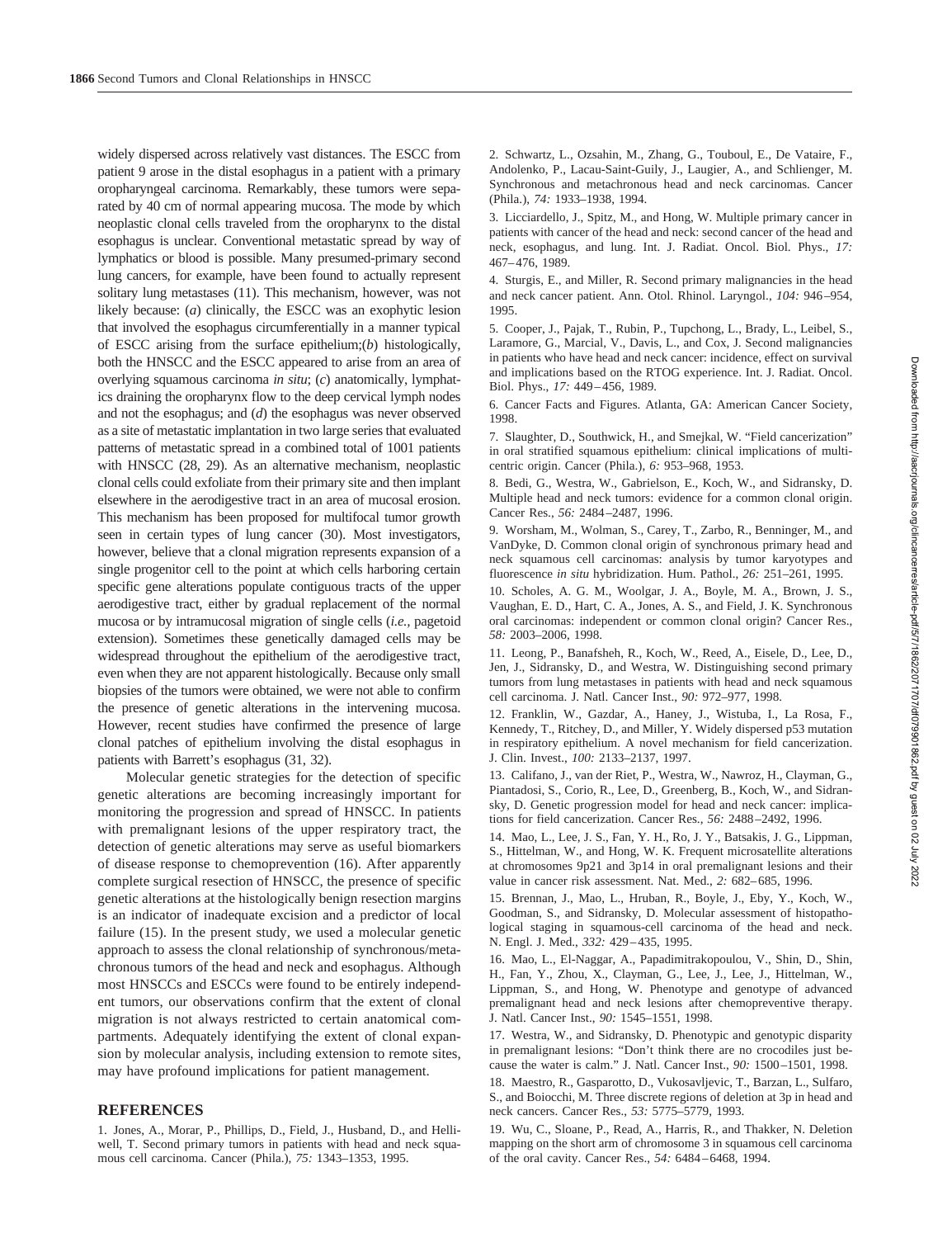widely dispersed across relatively vast distances. The ESCC from patient 9 arose in the distal esophagus in a patient with a primary oropharyngeal carcinoma. Remarkably, these tumors were separated by 40 cm of normal appearing mucosa. The mode by which neoplastic clonal cells traveled from the oropharynx to the distal esophagus is unclear. Conventional metastatic spread by way of lymphatics or blood is possible. Many presumed-primary second lung cancers, for example, have been found to actually represent solitary lung metastases (11). This mechanism, however, was not likely because: (*a*) clinically, the ESCC was an exophytic lesion that involved the esophagus circumferentially in a manner typical of ESCC arising from the surface epithelium;(*b*) histologically, both the HNSCC and the ESCC appeared to arise from an area of overlying squamous carcinoma *in situ*; (*c*) anatomically, lymphatics draining the oropharynx flow to the deep cervical lymph nodes and not the esophagus; and (*d*) the esophagus was never observed as a site of metastatic implantation in two large series that evaluated patterns of metastatic spread in a combined total of 1001 patients with HNSCC (28, 29). As an alternative mechanism, neoplastic clonal cells could exfoliate from their primary site and then implant elsewhere in the aerodigestive tract in an area of mucosal erosion. This mechanism has been proposed for multifocal tumor growth seen in certain types of lung cancer (30). Most investigators, however, believe that a clonal migration represents expansion of a single progenitor cell to the point at which cells harboring certain specific gene alterations populate contiguous tracts of the upper aerodigestive tract, either by gradual replacement of the normal mucosa or by intramucosal migration of single cells (*i.e.,* pagetoid extension). Sometimes these genetically damaged cells may be widespread throughout the epithelium of the aerodigestive tract, even when they are not apparent histologically. Because only small biopsies of the tumors were obtained, we were not able to confirm the presence of genetic alterations in the intervening mucosa. However, recent studies have confirmed the presence of large clonal patches of epithelium involving the distal esophagus in patients with Barrett's esophagus (31, 32).

Molecular genetic strategies for the detection of specific genetic alterations are becoming increasingly important for monitoring the progression and spread of HNSCC. In patients with premalignant lesions of the upper respiratory tract, the detection of genetic alterations may serve as useful biomarkers of disease response to chemoprevention (16). After apparently complete surgical resection of HNSCC, the presence of specific genetic alterations at the histologically benign resection margins is an indicator of inadequate excision and a predictor of local failure (15). In the present study, we used a molecular genetic approach to assess the clonal relationship of synchronous/metachronous tumors of the head and neck and esophagus. Although most HNSCCs and ESCCs were found to be entirely independent tumors, our observations confirm that the extent of clonal migration is not always restricted to certain anatomical compartments. Adequately identifying the extent of clonal expansion by molecular analysis, including extension to remote sites, may have profound implications for patient management.

#### **REFERENCES**

1. Jones, A., Morar, P., Phillips, D., Field, J., Husband, D., and Helliwell, T. Second primary tumors in patients with head and neck squamous cell carcinoma. Cancer (Phila.), *75:* 1343–1353, 1995.

2. Schwartz, L., Ozsahin, M., Zhang, G., Touboul, E., De Vataire, F., Andolenko, P., Lacau-Saint-Guily, J., Laugier, A., and Schlienger, M. Synchronous and metachronous head and neck carcinomas. Cancer (Phila.), *74:* 1933–1938, 1994.

3. Licciardello, J., Spitz, M., and Hong, W. Multiple primary cancer in patients with cancer of the head and neck: second cancer of the head and neck, esophagus, and lung. Int. J. Radiat. Oncol. Biol. Phys., *17:* 467–476, 1989.

4. Sturgis, E., and Miller, R. Second primary malignancies in the head and neck cancer patient. Ann. Otol. Rhinol. Laryngol., *104:* 946–954, 1995.

5. Cooper, J., Pajak, T., Rubin, P., Tupchong, L., Brady, L., Leibel, S., Laramore, G., Marcial, V., Davis, L., and Cox, J. Second malignancies in patients who have head and neck cancer: incidence, effect on survival and implications based on the RTOG experience. Int. J. Radiat. Oncol. Biol. Phys., *17:* 449–456, 1989.

6. Cancer Facts and Figures. Atlanta, GA: American Cancer Society, 1998.

7. Slaughter, D., Southwick, H., and Smejkal, W. "Field cancerization" in oral stratified squamous epithelium: clinical implications of multicentric origin. Cancer (Phila.), *6:* 953–968, 1953.

8. Bedi, G., Westra, W., Gabrielson, E., Koch, W., and Sidransky, D. Multiple head and neck tumors: evidence for a common clonal origin. Cancer Res., *56:* 2484–2487, 1996.

9. Worsham, M., Wolman, S., Carey, T., Zarbo, R., Benninger, M., and VanDyke, D. Common clonal origin of synchronous primary head and neck squamous cell carcinomas: analysis by tumor karyotypes and fluorescence *in situ* hybridization. Hum. Pathol., *26:* 251–261, 1995.

10. Scholes, A. G. M., Woolgar, J. A., Boyle, M. A., Brown, J. S., Vaughan, E. D., Hart, C. A., Jones, A. S., and Field, J. K. Synchronous oral carcinomas: independent or common clonal origin? Cancer Res., *58:* 2003–2006, 1998.

11. Leong, P., Banafsheh, R., Koch, W., Reed, A., Eisele, D., Lee, D., Jen, J., Sidransky, D., and Westra, W. Distinguishing second primary tumors from lung metastases in patients with head and neck squamous cell carcinoma. J. Natl. Cancer Inst., *90:* 972–977, 1998.

12. Franklin, W., Gazdar, A., Haney, J., Wistuba, I., La Rosa, F., Kennedy, T., Ritchey, D., and Miller, Y. Widely dispersed p53 mutation in respiratory epithelium. A novel mechanism for field cancerization. J. Clin. Invest., *100:* 2133–2137, 1997.

13. Califano, J., van der Riet, P., Westra, W., Nawroz, H., Clayman, G., Piantadosi, S., Corio, R., Lee, D., Greenberg, B., Koch, W., and Sidransky, D. Genetic progression model for head and neck cancer: implications for field cancerization. Cancer Res., *56:* 2488–2492, 1996.

14. Mao, L., Lee, J. S., Fan, Y. H., Ro, J. Y., Batsakis, J. G., Lippman, S., Hittelman, W., and Hong, W. K. Frequent microsatellite alterations at chromosomes 9p21 and 3p14 in oral premalignant lesions and their value in cancer risk assessment. Nat. Med., *2:* 682–685, 1996.

15. Brennan, J., Mao, L., Hruban, R., Boyle, J., Eby, Y., Koch, W., Goodman, S., and Sidransky, D. Molecular assessment of histopathological staging in squamous-cell carcinoma of the head and neck. N. Engl. J. Med., *332:* 429–435, 1995.

16. Mao, L., El-Naggar, A., Papadimitrakopoulou, V., Shin, D., Shin, H., Fan, Y., Zhou, X., Clayman, G., Lee, J., Lee, J., Hittelman, W., Lippman, S., and Hong, W. Phenotype and genotype of advanced premalignant head and neck lesions after chemopreventive therapy. J. Natl. Cancer Inst., *90:* 1545–1551, 1998.

17. Westra, W., and Sidransky, D. Phenotypic and genotypic disparity in premalignant lesions: "Don't think there are no crocodiles just because the water is calm." J. Natl. Cancer Inst., *90:* 1500–1501, 1998.

18. Maestro, R., Gasparotto, D., Vukosavljevic, T., Barzan, L., Sulfaro, S., and Boiocchi, M. Three discrete regions of deletion at 3p in head and neck cancers. Cancer Res., *53:* 5775–5779, 1993.

19. Wu, C., Sloane, P., Read, A., Harris, R., and Thakker, N. Deletion mapping on the short arm of chromosome 3 in squamous cell carcinoma of the oral cavity. Cancer Res., *54:* 6484–6468, 1994.